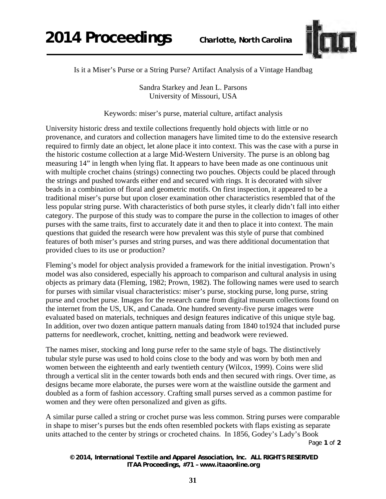

Is it a Miser's Purse or a String Purse? Artifact Analysis of a Vintage Handbag

Sandra Starkey and Jean L. Parsons University of Missouri, USA

Keywords: miser's purse, material culture, artifact analysis

University historic dress and textile collections frequently hold objects with little or no provenance, and curators and collection managers have limited time to do the extensive research required to firmly date an object, let alone place it into context. This was the case with a purse in the historic costume collection at a large Mid-Western University. The purse is an oblong bag measuring 14" in length when lying flat. It appears to have been made as one continuous unit with multiple crochet chains (strings) connecting two pouches. Objects could be placed through the strings and pushed towards either end and secured with rings. It is decorated with silver beads in a combination of floral and geometric motifs. On first inspection, it appeared to be a traditional miser's purse but upon closer examination other characteristics resembled that of the less popular string purse. With characteristics of both purse styles, it clearly didn't fall into either category. The purpose of this study was to compare the purse in the collection to images of other purses with the same traits, first to accurately date it and then to place it into context. The main questions that guided the research were how prevalent was this style of purse that combined features of both miser's purses and string purses, and was there additional documentation that provided clues to its use or production?

Fleming's model for object analysis provided a framework for the initial investigation. Prown's model was also considered, especially his approach to comparison and cultural analysis in using objects as primary data (Fleming, 1982; Prown, 1982). The following names were used to search for purses with similar visual characteristics: miser's purse, stocking purse, long purse, string purse and crochet purse. Images for the research came from digital museum collections found on the internet from the US, UK, and Canada. One hundred seventy-five purse images were evaluated based on materials, techniques and design features indicative of this unique style bag. In addition, over two dozen antique pattern manuals dating from 1840 to1924 that included purse patterns for needlework, crochet, knitting, netting and beadwork were reviewed.

The names miser, stocking and long purse refer to the same style of bags. The distinctively tubular style purse was used to hold coins close to the body and was worn by both men and women between the eighteenth and early twentieth century (Wilcox, 1999). Coins were slid through a vertical slit in the center towards both ends and then secured with rings. Over time, as designs became more elaborate, the purses were worn at the waistline outside the garment and doubled as a form of fashion accessory. Crafting small purses served as a common pastime for women and they were often personalized and given as gifts.

A similar purse called a string or crochet purse was less common. String purses were comparable in shape to miser's purses but the ends often resembled pockets with flaps existing as separate units attached to the center by strings or crocheted chains. In 1856, Godey's Lady's Book

Page **1** of **2** 

*© 2014, International Textile and Apparel Association, Inc. ALL RIGHTS RESERVED ITAA Proceedings, #71 – www.itaaonline.org*